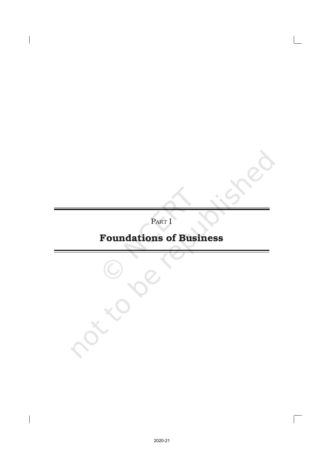PART I

# Foundations of Business

 $\sqrt{ }$ 

 $\overline{\phantom{a}}$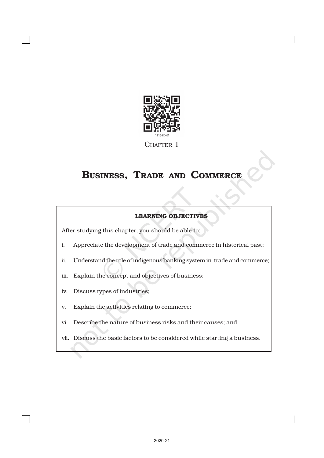

CHAPTER 1

# BUSINESS, TRADE AND COMMERCE

# LEARNING OBJECTIVES

After studying this chapter, you should be able to:

- i. Appreciate the development of trade and commerce in historical past;
- ii. Understand the role of indigenous banking system in trade and commerce;
- iii. Explain the concept and objectives of business;
- iv. Discuss types of industries;
- v. Explain the activities relating to commerce;
- vi. Describe the nature of business risks and their causes; and
- vii. Discuss the basic factors to be considered while starting a business.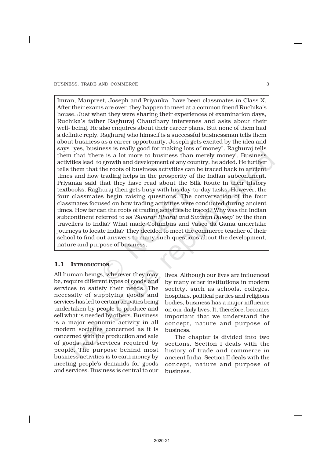Imran, Manpreet, Joseph and Priyanka have been classmates in Class X. After their exams are over, they happen to meet at a common friend Ruchika's house. Just when they were sharing their experiences of examination days, Ruchika's father Raghuraj Chaudhary intervenes and asks about their well- being. He also enquires about their career plans. But none of them had a definite reply. Raghuraj who himself is a successful businessman tells them about business as a career opportunity. Joseph gets excited by the idea and says "yes, business is really good for making lots of money". Raghuraj tells them that 'there is a lot more to business than merely money'. Business activities lead to growth and development of any country, he added. He further tells them that the roots of business activities can be traced back to ancient times and how trading helps in the prosperity of the Indian subcontinent. Priyanka said that they have read about the Silk Route in their history textbooks. Raghuraj then gets busy with his day-to-day tasks. However, the four classmates begin raising questions. The conversation of the four classmates focused on how trading activities were conducted during ancient times. How far can the roots of trading activities be traced? Why was the Indian subcontinent referred to as '*Swaran Bharat and Swaran Dweep'* by the then travellers to India? What made Columbus and Vasco da Gama undertake journeys to locate India? They decided to meet the commerce teacher of their school to find out answers to many such questions about the development, nature and purpose of business.

# 1.1 INTRODUCTION

All human beings, wherever they may be, require different types of goods and services to satisfy their needs. The necessity of supplying goods and services has led to certain activities being undertaken by people to produce and sell what is needed by others. Business is a major economic activity in all modern societies concerned as it is concerned with the production and sale of goods and services required by people. The purpose behind most business activities is to earn money by meeting people's demands for goods and services. Business is central to our

lives. Although our lives are influenced by many other institutions in modern society, such as schools, colleges, hospitals, political parties and religious bodies, business has a major influence on our daily lives. It, therefore, becomes important that we understand the concept, nature and purpose of business.

The chapter is divided into two sections. Section I deals with the history of trade and commerce in ancient India. Section II deals with the concept, nature and purpose of business.

2020-21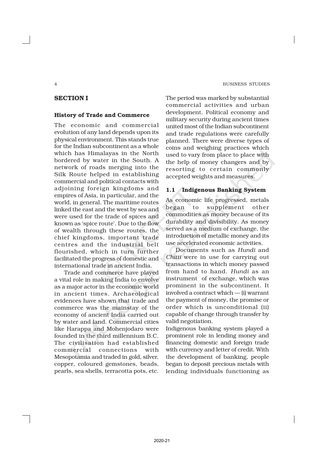#### 4 BUSINESS STUDIES

# SECTION I

#### History of Trade and Commerce

The economic and commercial evolution of any land depends upon its physical environment. This stands true for the Indian subcontinent as a whole which has Himalayas in the North bordered by water in the South. A network of roads merging into the Silk Route helped in establishing commercial and political contacts with adjoining foreign kingdoms and empires of Asia, in particular, and the world, in general. The maritime routes linked the east and the west by sea and were used for the trade of spices and known as 'spice route'. Due to the flow of wealth through these routes, the chief kingdoms, important trade centres and the industrial belt flourished, which in turn further facilitated the progress of domestic and international trade in ancient India.

Trade and commerce have played a vital role in making India to envolve as a major actor in the economic world in ancient times. Archaeological evidences have shown that trade and commerce was the mainstay of the economy of ancient India carried out by water and land. Commercial cities like Harappa and Mohenjodaro were founded in the third millennium B.C. The civilisation had established commercial connections with Mesopotamia and traded in gold, silver, copper, coloured gemstones, beads, pearls, sea shells, terracotta pots, etc.

The period was marked by substantial commercial activities and urban development. Political economy and military security during ancient times united most of the Indian subcontinent and trade regulations were carefully planned. There were diverse types of coins and weighing practices which used to vary from place to place with the help of money changers and by resorting to certain commonly accepted weights and measures.

#### 1.1 Indigenous Banking System

As economic life progressed, metals began to supplement other commodities as money because of its durability and divisibility. As money served as a medium of exchange, the introduction of metallic money and its use accelerated economic activities.

Documents such as *Hundi* and *Chitti* were in use for carrying out transactions in which money passed from hand to hand. *Hundi* as an instrument of exchange, which was prominent in the subcontinent. It involved a contract which — (i) warrant the payment of money, the promise or order which is unconditional (ii) capable of change through transfer by valid negotiation.

Indigenous banking system played a prominent role in lending money and financing domestic and foreign trade with currency and letter of credit. With the development of banking, people began to deposit precious metals with lending individuals functioning as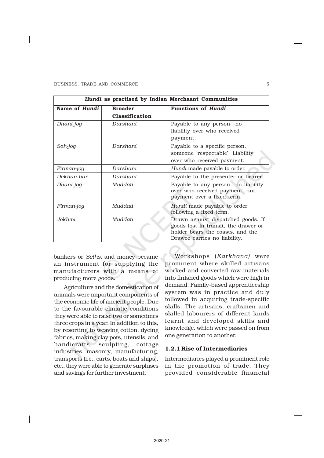| Hundi as practised by Indian Merchaant Communities |                                  |                                                                                                                                                |  |  |  |  |
|----------------------------------------------------|----------------------------------|------------------------------------------------------------------------------------------------------------------------------------------------|--|--|--|--|
| Name of Hundi                                      | <b>Broader</b><br>Classification | <b>Functions of Hundi</b>                                                                                                                      |  |  |  |  |
| Dhani-jog                                          | Darshani                         | Payable to any person—no<br>liability over who received<br>payment.                                                                            |  |  |  |  |
| Sah-jog                                            | Darshani                         | Payable to a specific person,<br>someone 'respectable'. Liability<br>over who received payment.                                                |  |  |  |  |
| Firman-jog                                         | Darshani                         | Hundi made payable to order.                                                                                                                   |  |  |  |  |
| Dekhan-har                                         | Darshani                         | Payable to the presenter or bearer.                                                                                                            |  |  |  |  |
| Dhani-jog                                          | Muddati                          | Payable to any person-no liability<br>over who received payment, but<br>payment over a fixed term.                                             |  |  |  |  |
| Firman-jog                                         | Muddati                          | Hundi made payable to order<br>following a fixed term.                                                                                         |  |  |  |  |
| Jokhmi                                             | Muddati                          | Drawn against dispatched goods. If<br>goods lost in transit, the drawer or<br>holder bears the coasts, and the<br>Drawee carries no liability. |  |  |  |  |

bankers or *Seths,* and money became an instrument for supplying the manufacturers with a means of producing more goods.

Agriculture and the domestication of animals were important components of the economic life of ancient people. Due to the favourable climatic conditions they were able to raise two or sometimes three crops in a year. In addition to this, by resorting to weaving cotton, dyeing fabrics, making clay pots, utensils, and handicrafts, sculpting, cottage industries, masonry, manufacturing, transports (i.e., carts, boats and ships), etc., they were able to generate surpluses and savings for further investment.

Workshops (*Karkhana)* were prominent where skilled artisans worked and converted raw materials into finished goods which were high in demand. Family-based apprenticeship system was in practice and duly followed in acquiring trade-specific skills. The artisans, craftsmen and skilled labourers of different kinds learnt and developed skills and knowledge, which were passed on from one generation to another.

#### 1.2.1 Rise of Intermediaries

Intermediaries played a prominent role in the promotion of trade. They provided considerable financial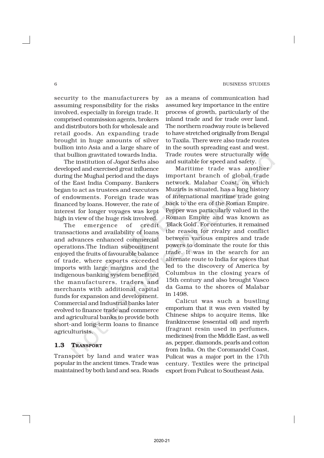security to the manufacturers by assuming responsibility for the risks involved, especially in foreign trade. It comprised commission agents, brokers and distributors both for wholesale and retail goods. An expanding trade brought in huge amounts of silver bullion into Asia and a large share of that bullion gravitated towards India.

The institution of *Jagat Seths* also developed and exercised great influence during the Mughal period and the days of the East India Company. Bankers began to act as trustees and executors of endowments. Foreign trade was financed by loans. However, the rate of interest for longer voyages was kept high in view of the huge risk involved.

The emergence of credit transactions and availability of loans and advances enhanced commercial operations.The Indian subcontinent enjoyed the fruits of favourable balance of trade, where exports exceeded imports with large margins and the indigenous banking system benefitted the manufacturers, traders and merchants with additional capital funds for expansion and development. Commercial and Industrial banks later evolved to finance trade and commerce and agricultural banks to provide both short-and long-term loans to finance agriculturists.

# 1.3 TRANSPORT

Transport by land and water was popular in the ancient times. Trade was maintained by both land and sea. Roads

as a means of communication had assumed key importance in the entire process of growth, particularly of the inland trade and for trade over land. The northern roadway route is believed to have stretched originally from Bengal to Taxila. There were also trade routes in the south spreading east and west. Trade routes were structurally wide and suitable for speed and safety.

Maritime trade was another important branch of global trade network. Malabar Coast, on which Muziris is situated, has a long history of international maritime trade going back to the era of the Roman Empire. Pepper was particularly valued in the Roman Empire and was known as 'Black Gold'. For centuries, it remained the reason for rivalry and conflict between various empires and trade powers to dominate the route for this trade. It was in the search for an alternate route to India for spices that led to the discovery of America by Columbus in the closing years of 15th century and also brought Vasco da Gama to the shores of Malabar in 1498.

Calicut was such a bustling emporium that it was even visited by Chinese ships to acquire items, like frankincense (essential oil) and myrrh (fragrant resin used in perfumes, medicines) from the Middle East, as well as, pepper, diamonds, pearls and cotton from India. On the Coromandel Coast, Pulicat was a major port in the 17th century. Textiles were the principal export from Pulicat to Southeast Asia.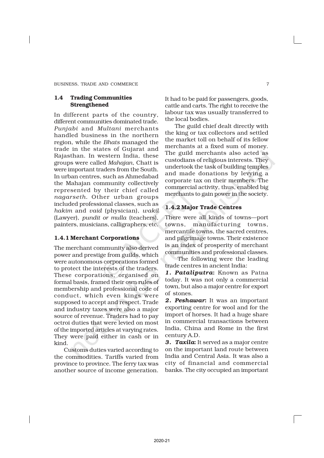#### 1.4 Trading Communities Strengthened

In different parts of the country, different communities dominated trade. *Punjabi* and *Multani* merchants handled business in the northern region, while the *Bhats* managed the trade in the states of Gujarat and Rajasthan. In western India, these groups were called *Mahajan*, Chatt is were important traders from the South. In urban centres, such as Ahmedabad the Mahajan community collectively represented by their chief called *nagarseth.* Other urban groups included professional classes, such as *hakim* and *vaid* (physician), *wakil* (Lawyer), *pundit or mulla* (teachers), painters, musicians, calligraphers, etc.

# 1.4.1 Merchant Corporations

The merchant community also derived power and prestige from guilds, which were autonomous corporations formed to protect the interests of the traders. These corporations, organised on formal basis, framed their own rules of membership and professional code of conduct, which even kings were supposed to accept and respect. Trade and industry taxes were also a major source of revenue. Traders had to pay octroi duties that were levied on most of the imported articles at varying rates. They were paid either in cash or in kind.

Customs duties varied according to the commodities. Tariffs varied from province to province. The ferry tax was another source of income generation.

It had to be paid for passengers, goods, cattle and carts. The right to receive the labour tax was usually transferred to the local bodies.

The guild chief dealt directly with the king or tax collectors and settled the market toll on behalf of its fellow merchants at a fixed sum of money. The guild merchants also acted as custodians of religious interests. They undertook the task of building temples and made donations by levying a corporate tax on their members. The commercial activity, thus, enabled big merchants to gain power in the society.

# 1.4.2 Major Trade Centres

There were all kinds of towns—port towns, manufacturing towns, mercantile towns, the sacred centres, and pilgrimage towns. Their existence is an index of prosperity of merchant communities and professional classes.

 The following were the leading trade centres in ancient India:

*1. Pataliputra*: Known as Patna today. It was not only a commercial town, but also a major centre for export of stones.

*2. Peshawar*: It was an important exporting centre for wool and for the import of horses. It had a huge share in commercial transactions between India, China and Rome in the first century A.D.

*3. Taxila*: It served as a major centre on the important land route between India and Central Asia. It was also a city of financial and commercial banks. The city occupied an important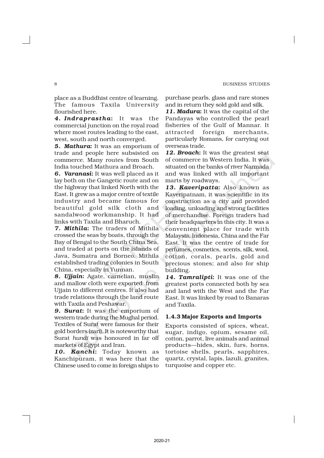place as a Buddhist centre of learning. The famous Taxila University flourished here.

*4. Indraprastha*: It was the commercial junction on the royal road where most routes leading to the east, west, south and north converged.

*5. Mathura*: It was an emporium of trade and people here subsisted on commerce. Many routes from South India touched Mathura and Broach.

*6. Varanasi*: It was well placed as it lay both on the Gangetic route and on the highway that linked North with the East. It grew as a major centre of textile industry and became famous for beautiful gold silk cloth and sandalwood workmanship. It had links with Taxila and Bharuch.

*7. Mithila*: The traders of Mithila crossed the seas by boats, through the Bay of Bengal to the South China Sea, and traded at ports on the islands of Java, Sumatra and Borneo. Mithila established trading colonies in South China, especially in Yunnan.

*8. Ujjain*: Agate, carnelian, muslin and mallow cloth were exported from Ujjain to different centres. It also had trade relations through the land route with Taxila and Peshawar.

*9. Surat*: It was the emporium of western trade during the Mughal period. Textiles of Surat were famous for their gold borders (zari). It is noteworthy that Surat *hundi* was honoured in far off markets of Egypt and Iran.

*10. Kanchi*: Today known as Kanchipuram, it was here that the Chinese used to come in foreign ships to purchase pearls, glass and rare stones and in return they sold gold and silk.

*11. Madura*: It was the capital of the Pandayas who controlled the pearl fisheries of the Gulf of Mannar. It attracted foreign merchants, particularly Romans, for carrying out overseas trade.

*12. Broach*: It was the greatest seat of commerce in Western India. It was situated on the banks of river Narmada and was linked with all important marts by roadways.

*13. Kaveripatta*: Also known as Kaveripatnam, it was scientific in its construction as a city and provided loading, unloading and strong facilities of merchandise. Foreign traders had their headquarters in this city. It was a convenient place for trade with Malaysia, Indonesia, China and the Far East. It was the centre of trade for perfumes, cosmetics, scents, silk, wool, cotton, corals, pearls, gold and precious stones; and also for ship building.

*14. Tamralipti*: It was one of the greatest ports connected both by sea and land with the West and the Far East. It was linked by road to Banaras and Taxila.

#### 1.4.3 Major Exports and Imports

Exports consisted of spices, wheat, sugar, indigo, opium, sesame oil, cotton, parrot, live animals and animal products—hides, skin, furs, horns, tortoise shells, pearls, sapphires, quartz, crystal, lapis, lazuli, granites, turquoise and copper etc.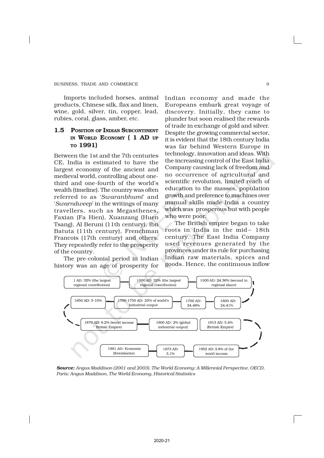Imports included horses, animal products, Chinese silk, flax and linen, wine, gold, silver, tin, copper, lead, rubies, coral, glass, amber, etc.

# 1.5 POSITION OF INDIAN SUBCONTINENT IN WORLD ECONOMY ( 1 AD UP TO 1991)

Between the 1st and the 7th centuries CE, India is estimated to have the largest economy of the ancient and medieval world, controlling about onethird and one-fourth of the world's wealth (timeline). The country was often referred to as '*Swaranbhumi*' and '*Swarndweep*' in the writings of many travellers, such as Megasthenes, Faxian (Fa Hien), Xuanzang (Huen Tsang), Al Beruni (11th century), Ibn Batuta (11th century), Frenchman Francois (17th century) and others. They repeatedly refer to the prosperity of the country.

The pre-colonial period in Indian history was an age of prosperity for

Indian economy and made the Europeans embark great voyage of discovery. Initially, they came to plunder but soon realised the rewards of trade in exchange of gold and silver. Despite the growing commercial sector, it is evident that the 18th century India was far behind Western Europe in technology, innovation and ideas. With the increasing control of the East India Company causing lack of freedom and no occurrence of agricultural and scientific revolution, limited reach of education to the masses, population growth and preference to machines over manual skills made India a country which was prosperous but with people who were poor.

The British empire began to take roots in India in the mid – 18th century. The East India Company used revenues generated by the provinces under its rule for purchasing Indian raw materials, spices and goods. Hence, the continuous inflow



*Source: Angus Maddison (2001 and 2003), The World Economy: A Millennial Perspective, OECD, Paris; Angus Maddison, The World Economy, Historical Statistics*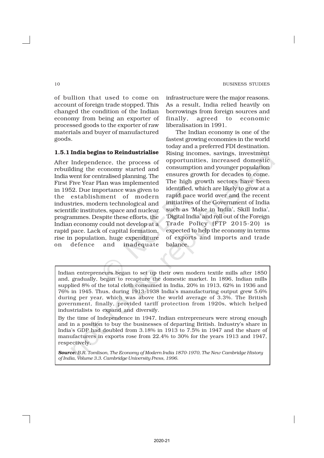of bullion that used to come on account of foreign trade stopped. This changed the condition of the Indian economy from being an exporter of processed goods to the exporter of raw materials and buyer of manufactured goods.

#### 1.5.1 India begins to Reindustrialise

After Independence, the process of rebuilding the economy started and India went for centralised planning. The First Five Year Plan was implemented in 1952. Due importance was given to the establishment of modern industries, modern technological and scientific institutes, space and nuclear programmes. Despite these efforts, the Indian economy could not develop at a rapid pace. Lack of capital formation, rise in population, huge expenditure on defence and inadequate

infrastructure were the major reasons. As a result, India relied heavily on borrowings from foreign sources and finally, agreed to economic liberalisation in 1991.

The Indian economy is one of the fastest growing economies in the world today and a preferred FDI destination. Rising incomes, savings, investment opportunities, increased domestic consumption and younger population ensures growth for decades to come. The high growth sectors have been identified, which are likely to grow at a rapid pace world over and the recent initiatives of the Government of India such as 'Make in India', Skill India', 'Digital India' and roll out of the Foreign Trade Policy (FTP 2015-20) is expected to help the economy in terms of exports and imports and trade balance.

Indian entrepreneurs began to set up their own modern textile mills after 1850 and, gradually, began to recapture the domestic market. In 1896, Indian mills supplied 8% of the total cloth consumed in India, 20% in 1913, 62% in 1936 and 76% in 1945. Thus, during 1913-1938 India's manufacturing output grew 5.6% during per year, which was above the world average of 3.3%. The British government, finally, provided tariff protection from 1920s, which helped industrialists to expand and diversify.

By the time of Independence in 1947, Indian entrepreneurs were strong enough and in a position to buy the businesses of departing British. Industry's share in India's GDP had doubled from 3.18% in 1913 to 7.5% in 1947 and the share of manufacturers in exports rose from 22.4% to 30% for the years 1913 and 1947, respectively.

*Source: B.R. Tomlison, The Economy of Modern India 1870-1970, The New Cambridge History of India, Volume 3.3. Cambridge University Press, 1996.*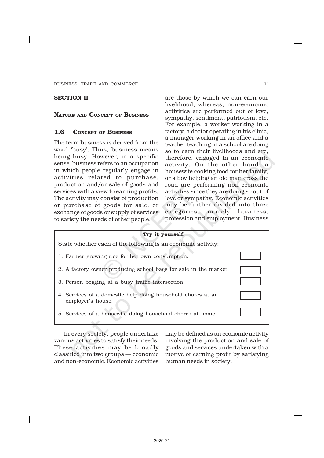BUSINESS, TRADE AND COMMERCE 11 and 11

# SECTION II

#### NATURE AND CONCEPT OF BUSINESS

#### 1.6 CONCEPT OF BUSINESS

The term business is derived from the word 'busy'. Thus, business means being busy. However, in a specific sense, business refers to an occupation in which people regularly engage in activities related to purchase, production and/or sale of goods and services with a view to earning profits. The activity may consist of production or purchase of goods for sale, or exchange of goods or supply of services to satisfy the needs of other people.

are those by which we can earn our livelihood, whereas, non-economic activities are performed out of love, sympathy, sentiment, patriotism, etc. For example, a worker working in a factory, a doctor operating in his clinic, a manager working in an office and a teacher teaching in a school are doing so to earn their livelihoods and are, therefore, engaged in an economic activity. On the other hand, a housewife cooking food for her family, or a boy helping an old man cross the road are performing non-economic activities since they are doing so out of love or sympathy. Economic activities may be further divided into three categories, namely business, profession and employment. Business



In every society, people undertake various activities to satisfy their needs. These activities may be broadly classified into two groups — economic and non-economic. Economic activities

may be defined as an economic activity involving the production and sale of goods and services undertaken with a motive of earning profit by satisfying human needs in society.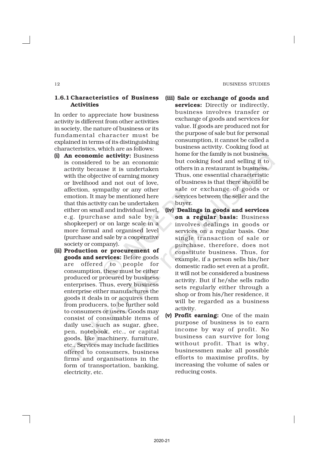#### 12 BUSINESS STUDIES

# 1.6.1 Characteristics of Business Activities

In order to appreciate how business activity is different from other activities in society, the nature of business or its fundamental character must be explained in terms of its distinguishing characteristics, which are as follows:

- (i) An economic activity: Business is considered to be an economic activity because it is undertaken with the objective of earning money or livelihood and not out of love, affection, sympathy or any other emotion. It may be mentioned here that this activity can be undertaken either on small and individual level, e.g. (purchase and sale by a shopkeeper) or on large scale in a more formal and organised level (purchase and sale by a cooperative society or company).
- (ii) Production or procurement of goods and services: Before goods are offered to people for consumption, these must be either produced or procured by business enterprises. Thus, every business enterprise either manufactures the goods it deals in or acquires them from producers, to be further sold to consumers or users. Goods may consist of consumable items of daily use, such as sugar, ghee, pen, notebook, etc., or capital goods, like machinery, furniture, etc., Services may include facilities offered to consumers, business firms and organisations in the form of transportation, banking, electricity, etc.
- (iii) Sale or exchange of goods and services: Directly or indirectly, business involves transfer or exchange of goods and services for value. If goods are produced not for the purpose of sale but for personal consumption, it cannot be called a business activity. Cooking food at home for the family is not business, but cooking food and selling it to others in a restaurant is business. Thus, one essential characteristic of business is that there should be sale or exchange of goods or services between the seller and the buyer.
- (iv) Dealings in goods and services on a regular basis: Business involves dealings in goods or services on a regular basis. One single transaction of sale or purchase, therefore, does not constitute business. Thus, for example, if a person sells his/her domestic radio set even at a profit, it will not be considered a business activity. But if he/she sells radio sets regularly either through a shop or from his/her residence, it will be regarded as a business activity.
- (v) Profit earning: One of the main purpose of business is to earn income by way of profit. No business can survive for long without profit. That is why, businessmen make all possible efforts to maximise profits, by increasing the volume of sales or reducing costs.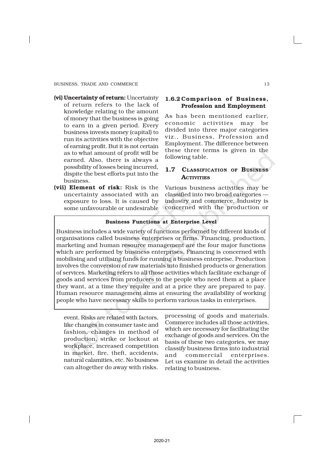- (vi) Uncertainty of return: Uncertainty of return refers to the lack of knowledge relating to the amount of money that the business is going to earn in a given period. Every business invests money (capital) to run its activities with the objective of earning profit. But it is not certain as to what amount of profit will be earned. Also, there is always a possibility of losses being incurred, dispite the best efforts put into the business.
- (vii) Element of risk: Risk is the uncertainty associated with an exposure to loss. It is caused by some unfavourable or undesirable

#### 1.6.2 Comparison of Business, Profession and Employment

As has been mentioned earlier, economic activities may be divided into three major categories viz., Business, Profession and Employment. The difference between these three terms is given in the following table.

# 1.7 CLASSIFICATION OF BUSINESS **ACTIVITIES**

Various business activities may be classified into two broad categories industry and commerce. Industry is concerned with the production or

# Business Functions at Enterprise Level

Business includes a wide variety of functions performed by different kinds of organisations called business enterprises or firms. Financing, production, marketing and human resource management are the four major functions which are performed by business enterprises. Financing is concerned with mobilising and utilising funds for running a business enterprise. Production involves the conversion of raw materials into finished products or generation of services. Marketing refers to all those activities which facilitate exchange of goods and services from producers to the people who need them at a place they want, at a time they require and at a price they are prepared to pay. Human resource management aims at ensuring the availability of working people who have necessary skills to perform various tasks in enterprises.

event. Risks are related with factors, like changes in consumer taste and fashion, changes in method of production, strike or lockout at workplace, increased competition in market, fire, theft, accidents, natural calamities, etc. No business can altogether do away with risks.

processing of goods and materials. Commerce includes all those activities, which are necessary for facilitating the exchange of goods and services. On the basis of these two categories, we may classify business firms into industrial and commercial enterprises. Let us examine in detail the activities relating to business.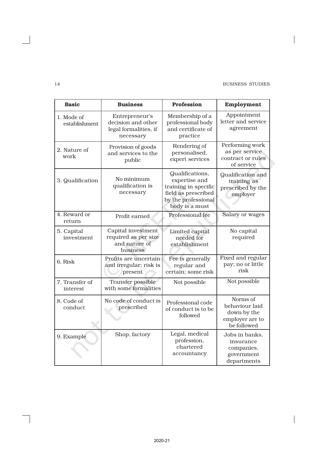#### 14 BUSINESS STUDIES

 $\overline{\phantom{a}}$ 

| <b>Basic</b>                      | <b>Business</b>                                                                | Profession                                                                                                               | Employment                                                                  |
|-----------------------------------|--------------------------------------------------------------------------------|--------------------------------------------------------------------------------------------------------------------------|-----------------------------------------------------------------------------|
| 1. Mode of<br>establishment       | Entrepreneur's<br>decision and other<br>legal formalities, if<br>necessary     | Membership of a<br>professional body<br>and certificate of<br>practice                                                   | Appointment<br>letter and service<br>agreement                              |
| 2. Nature of<br>work              | Provision of goods<br>and services to the<br>public                            | Performing work<br>as per service<br>contract or rules<br>of service                                                     |                                                                             |
| 3. Qualification                  | No minimum<br>qualification is<br>necessary                                    | Qualifications,<br>expertise and<br>training in specific<br>field as prescribed<br>by the professional<br>body is a must | <b>Qualification</b> and<br>training as<br>prescribed by the<br>employer    |
| 4. Reward or<br>return            | Profit earned                                                                  | Professional fee                                                                                                         | Salary or wages                                                             |
| 5. Capital<br>investment          | Capital investment<br>required as per size<br>and nature of<br><b>business</b> | Limited capital<br>needed for<br>establishment                                                                           | No capital<br>required                                                      |
| 6. Risk                           | Profits are uncertain<br>and irregular; risk is<br>present                     | Fee is generally<br>regular and<br>certain; some risk                                                                    | Fixed and regular<br>pay; no or little<br>risk                              |
| 7. Transfer of<br><i>interest</i> | Transfer possible<br>with some formalities                                     | Not possible                                                                                                             | Not possible                                                                |
| 8. Code of<br>conduct             | No code of conduct is<br>prescribed                                            | Professional code<br>of conduct is to be<br>followed                                                                     | Norms of<br>behaviour laid<br>down by the<br>employer are to<br>be followed |
| 9. Example                        | Shop, factory                                                                  | Legal, medical<br>profession,<br>chartered<br>accountancy                                                                | Jobs in banks,<br>insurance<br>companies,<br>government<br>departments      |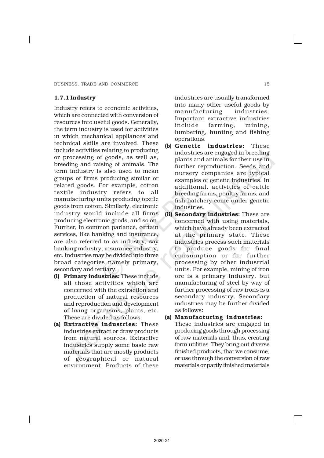# 1.7.1 Industry

Industry refers to economic activities, which are connected with conversion of resources into useful goods. Generally, the term industry is used for activities in which mechanical appliances and technical skills are involved. These include activities relating to producing or processing of goods, as well as, breeding and raising of animals. The term industry is also used to mean groups of firms producing similar or related goods. For example, cotton textile industry refers to all manufacturing units producing textile goods from cotton. Similarly, electronic industry would include all firms producing electronic goods, and so on. Further, in common parlance, certain services, like banking and insurance, are also referred to as industry, say banking industry, insurance industry, etc. Industries may be divided into three broad categories namely primary, secondary and tertiary.

- (i) Primary industries: These include all those activities which are concerned with the extraction and production of natural resources and reproduction and development of living organisms, plants, etc. These are divided as follows.
- (a) Extractive industries: These industries extract or draw products from natural sources. Extractive industries supply some basic raw materials that are mostly products of geographical or natural environment. Products of these

industries are usually transformed into many other useful goods by manufacturing industries. Important extractive industries include farming, mining, lumbering, hunting and fishing operations.

- (b) Genetic industries: These industries are engaged in breeding plants and animals for their use in further reproduction. Seeds and nursery companies are typical examples of genetic industries. In additional, activities of cattle breeding farms, poultry farms, and fish hatchery come under genetic industries.
- (ii) Secondary industries: These are concerned with using materials, which have already been extracted at the primary state. These industries process such materials to produce goods for final consumption or for further processing by other industrial units. For example, mining of iron ore is a primary industry, but manufacturing of steel by way of further processing of raw irons is a secondary industry. Secondary industries may be further divided as follows:

#### (a) Manufacturing industries:

These industries are engaged in producing goods through processing of raw materials and, thus, creating form utilities. They bring out diverse finished products, that we consume, or use through the conversion of raw materials or partly finished materials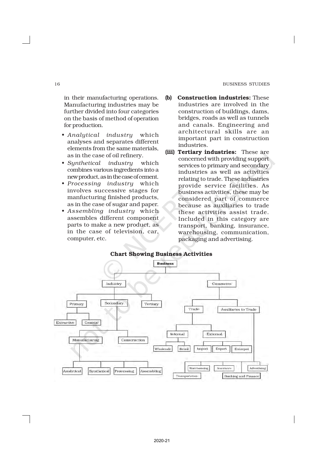#### 16 BUSINESS STUDIES

in their manufacturing operations. Manufacturing industries may be further divided into four categories on the basis of method of operation for production.

- *Analytical industry* which analyses and separates different elements from the same materials, as in the case of oil refinery.
- *Synthetical industry* which combines various ingredients into a new product, as in the case of cement.
- *Processing industry* which involves successive stages for manfucturing finished products, as in the case of sugar and paper.
- *Assembling industry* which assembles different component parts to make a new product, as in the case of television, car, computer, etc.
- (b) Construction industries: These industries are involved in the construction of buildings, dams, bridges, roads as well as tunnels and canals. Engineering and architectural skills are an important part in construction industries.
- (iii) Tertiary industries: These are concerned with providing support services to primary and secondary industries as well as activities relating to trade. These industries provide service facilities. As business activities, these may be considered part of commerce because as auxiliaries to trade these activities assist trade. Included in this category are transport, banking, insurance, warehousing, communication, packaging and advertising.

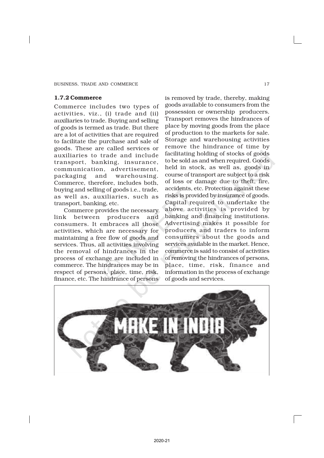#### 1.7.2 Commerce

Commerce includes two types of activities, viz., (i) trade and (ii) auxiliaries to trade. Buying and selling of goods is termed as trade. But there are a lot of activities that are required to facilitate the purchase and sale of goods. These are called services or auxiliaries to trade and include transport, banking, insurance, communication, advertisement, packaging and warehousing. Commerce, therefore, includes both, buying and selling of goods i.e., trade, as well as, auxiliaries, such as transport, banking, etc.

Commerce provides the necessary link between producers and consumers. It embraces all those activities, which are necessary for maintaining a free flow of goods and services. Thus, all activities involving the removal of hindrances in the process of exchange are included in commerce. The hindrances may be in respect of persons, place, time, risk, finance, etc. The hindrance of persons

is removed by trade, thereby, making goods available to consumers from the possession or ownership producers. Transport removes the hindrances of place by moving goods from the place of production to the markets for sale. Storage and warehousing activities remove the hindrance of time by facilitating holding of stocks of goods to be sold as and when required. Goods held in stock, as well as, goods in course of transport are subject to a risk of loss or damage due to theft, fire, accidents, etc. Protection against these risks is provided by insurance of goods. Capital required to undertake the above activities is provided by banking and financing institutions. Advertising makes it possible for producers and traders to inform consumers about the goods and services available in the market. Hence, commerce is said to consist of activities of removing the hindrances of persons, place, time, risk, finance and information in the process of exchange of goods and services.

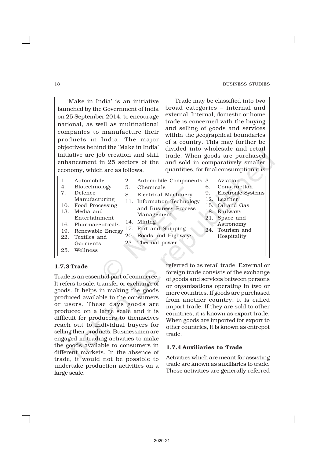#### 18 BUSINESS STUDIES

'Make in India' is an initiative launched by the Government of India on 25 September 2014, to encourage national, as well as multinational companies to manufacture their products in India. The major objectives behind the 'Make in India' initiative are job creation and skill enhancement in 25 sectors of the economy, which are as follows.

Trade may be classified into two broad categories – internal and external. Internal, domestic or home trade is concerned with the buying and selling of goods and services within the geographical boundaries of a country. This may further be divided into wholesale and retail trade. When goods are purchased and sold in comparatively smaller quantities, for final consumption it is

| 4.<br>7.<br>13.<br>22.<br>25. | Automobile<br>Biotechnology<br>Defence<br>Manufacturing<br>10. Food Processing<br>Media and<br>Entertainment<br>16. Pharmaceuticals<br>19. Renewable Energy<br>Textiles and<br>Garments<br>Wellness | 2.<br>5.<br>8. | Automobile Components<br>Chemicals<br>Electrical Machinery<br>11. Information Technology<br>and Business Process<br>Management<br>14. Mining<br>17. Port and Shipping<br>20. Roads and Highways<br>23. Thermal power | 3.<br>6.<br>9.<br>12.<br>21. | Aviation<br>Construction<br>Electronic Systems<br>Leather<br>15. Oil and Gas<br>18. Railways<br>Space and<br>Astronomy<br>24. Tourism and<br>Hospitality |
|-------------------------------|-----------------------------------------------------------------------------------------------------------------------------------------------------------------------------------------------------|----------------|----------------------------------------------------------------------------------------------------------------------------------------------------------------------------------------------------------------------|------------------------------|----------------------------------------------------------------------------------------------------------------------------------------------------------|
|-------------------------------|-----------------------------------------------------------------------------------------------------------------------------------------------------------------------------------------------------|----------------|----------------------------------------------------------------------------------------------------------------------------------------------------------------------------------------------------------------------|------------------------------|----------------------------------------------------------------------------------------------------------------------------------------------------------|

# 1.7.3 Trade

Trade is an essential part of commerce. It refers to sale, transfer or exchange of goods. It helps in making the goods produced available to the consumers or users. These days goods are produced on a large scale and it is difficult for producers to themselves reach out to individual buyers for selling their products. Businessmen are engaged in trading activities to make the goods available to consumers in different markets. In the absence of trade, it would not be possible to undertake production activities on a large scale.

referred to as retail trade. External or foreign trade consists of the exchange of goods and services between persons or organisations operating in two or more countries. If goods are purchased from another country, it is called import trade. If they are sold to other countries, it is known as export trade. When goods are imported for export to other countries, it is known as entrepot trade.

# 1.7.4 Auxiliaries to Trade

Activities which are meant for assisting trade are known as auxiliaries to trade. These activities are generally referred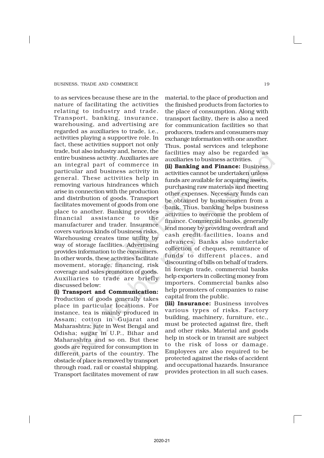to as services because these are in the nature of facilitating the activities relating to industry and trade. Transport, banking, insurance, warehousing, and advertising are regarded as auxiliaries to trade, i.e., activities playing a supportive role. In fact, these activities support not only trade, but also industry and, hence, the entire business activity. Auxiliaries are an integral part of commerce in particular and business activity in general. These activities help in removing various hindrances which arise in connection with the production and distribution of goods. Transport facilitates movement of goods from one place to another. Banking provides financial assistance to the manufacturer and trader. Insurance covers various kinds of business risks. Warehousing creates time utility by way of storage facilities. Advertising provides information to the consumers. In other words, these activities facilitate movement, storage, financing, risk coverage and sales promotion of goods. Auxiliaries to trade are briefly discussed below:

(i) Transport and Communication: Production of goods generally takes place in particular locations. For instance, tea is mainly produced in Assam; cotton in Gujarat and Maharashtra; jute in West Bengal and Odisha; sugar in U.P., Bihar and Maharashtra and so on. But these goods are required for consumption in different parts of the country. The obstacle of place is removed by transport through road, rail or coastal shipping. Transport facilitates movement of raw

material, to the place of production and the finished products from factories to the place of consumption. Along with transport facility, there is also a need for communication facilities so that producers, traders and consumers may exchange information with one another. Thus, postal services and telephone facilities may also be regarded as auxiliaries to business activities.

(ii) Banking and Finance: Business activities cannot be undertaken unless funds are available for acquiring assets, purchasing raw materials and meeting other expenses. Necessary funds can be obtained by businessmen from a bank. Thus, banking helps business activities to overcome the problem of finance. Commercial banks, generally lend money by providing overdraft and cash credit facilities, loans and advances. Banks also undertake collection of cheques, remittance of funds to different places, and discounting of bills on behalf of traders. In foreign trade, commercial banks help exporters in collecting money from importers. Commercial banks also help promoters of companies to raise capital from the public.

(iii) Insurance: Business involves various types of risks. Factory building, machinery, furniture, etc., must be protected against fire, theft and other risks. Material and goods help in stock or in transit are subject to the risk of loss or damage. Employees are also required to be protected against the risks of accident and occupational hazards. Insurance provides protection in all such cases.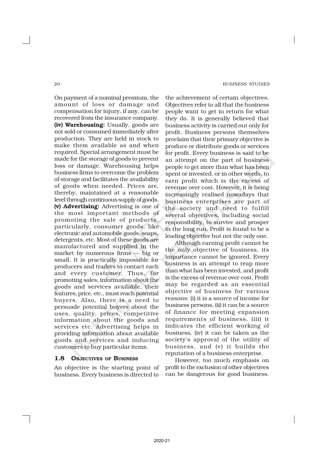On payment of a nominal premium, the amount of loss or damage and compensation for injury, if any, can be recovered from the insurance company. (iv) Warehousing: Usually, goods are not sold or consumed immediately after production. They are held in stock to make them available as and when required. Special arrangement must be made for the storage of goods to prevent loss or damage. Warehousing helps business firms to overcome the problem of storage and facilitates the availability of goods when needed. Prices are, thereby, maintained at a reasonable level through continuous supply of goods. (v) Advertising: Advertising is one of the most important methods of promoting the sale of products, particularly, consumer goods, like electronic and automobile goods, soaps, detergents, etc. Most of these goods are manufactured and supplied in the market by numerous firms — big or small. It is practically impossible for producers and traders to contact each and every customer. Thus, for promoting sales, information about the goods and services available, their features, price, etc., must reach potential buyers. Also, there is a need to persuade potential buyers about the uses, quality, prices, competitive information about the goods and services etc. Advertising helps in providing information about available goods and services and inducing customers to buy particular items.

#### 1.8 OBJECTIVES OF BUSINESS

An objective is the starting point of business. Every business is directed to

the achievement of certain objectives. Objectives refer to all that the business people want to get in return for what they do. It is generally believed that business activity is carried out only for profit. Business persons themselves proclaim that their primary objective is produce or distribute goods or services for profit. Every business is said to be an attempt on the part of business people to get more than what has been spent or invested, or in other words, to earn profit which is the excess of revenue over cost. However, it is being increasingly realised nowadays that business enterprises are part of the society and need to fulfill several objectives, including social responsibility, to survive and prosper in the long run. Profit is found to be a leading objective but not the only one.

Although earning profit cannot be the only objective of business, its importance cannot be ignored. Every business is an attempt to reap more than what has been invested, and profit is the excess of revenue over cost. Profit may be regarded as an essential objective of business for various reasons: (i) it is a source of income for business persons, (ii) it can be a source of finance for meeting expansion requirements of business, (iii) it indicates the efficient working of business, (iv) it can be taken as the society's approval of the utility of business, and (v) it builds the reputation of a business enterprise.

However, too much emphasis on profit to the exclusion of other objectives can be dangerous for good business.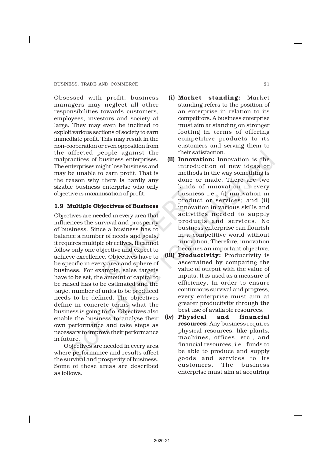Obsessed with profit, business managers may neglect all other responsibilities towards customers, employees, investors and society at large. They may even be inclined to exploit various sections of society to earn immediate profit. This may result in the non-cooperation or even opposition from the affected people against the malpractices of business enterprises. The enterprises might lose business and may be unable to earn profit. That is the reason why there is hardly any sizable business enterprise who only objective is maximisation of profit.

#### 1.9 Multiple Objectives of Business

Objectives are needed in every area that influences the survival and prosperity of business. Since a business has to balance a number of needs and goals, it requires multiple objectives. It cannot follow only one objective and expect to achieve excellence. Objectives have to be specific in every area and sphere of business. For example, sales targets have to be set, the amount of capital to be raised has to be estimated and the target number of units to be produced needs to be defined. The objectives define in concrete terms what the business is going to do. Objectives also enable the business to analyse their own performance and take steps as necessary to improve their performance in future.

Objectives are needed in every area where performance and results affect the survival and prosperity of business. Some of these areas are described as follows.

- (i) Market standing: Market standing refers to the position of an enterprise in relation to its competitors. A business enterprise must aim at standing on stronger footing in terms of offering competitive products to its customers and serving them to their satisfaction.
- (ii) Innovation: Innovation is the introduction of new ideas or methods in the way something is done or made. There are two kinds of innovation in every business i.e., (i) innovation in product or services; and (ii) innovation in various skills and activities needed to supply products and services. No business enterprise can flourish in a competitive world without innovation. Therefore, innovation becomes an important objective.
- (iii) Productivity: Productivity is ascertained by comparing the value of output with the value of inputs. It is used as a measure of efficiency. In order to ensure continuous survival and progress, every enterprise must aim at greater productivity through the best use of available resources.
- (iv) Physical and financial resources: Any business requires physical resources, like plants, machines, offices, etc., and financial resources, i.e., funds to be able to produce and supply goods and services to its customers. The business enterprise must aim at acquiring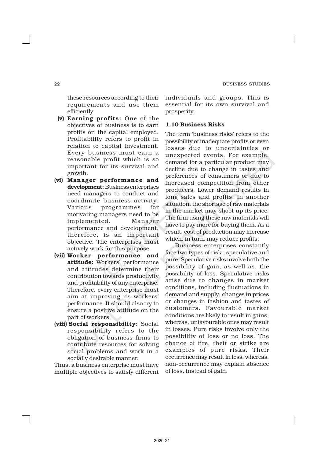these resources according to their requirements and use them efficiently.

- (v) Earning profits: One of the objectives of business is to earn profits on the capital employed. Profitability refers to profit in relation to capital investment. Every business must earn a reasonable profit which is so important for its survival and growth.
- (vi) Manager performance and development: Business enterprises need managers to conduct and coordinate business activity. Various programmes for motivating managers need to be implemented. Manager performance and development, therefore, is an important objective. The enterprises must actively work for this purpose.
- (vii) Worker performance and attitude: Workers' performance and attitudes determine their contribution towards productivity and profitability of any enterprise. Therefore, every enterprise must aim at improving its workers' performance. It should also try to ensure a positive attitude on the part of workers.
- (viii) Social responsibility: Social responsibility refers to the obligation of business firms to contribute resources for solving social problems and work in a socially desirable manner.

Thus, a business enterprise must have multiple objectives to satisfy different individuals and groups. This is essential for its own survival and prosperity.

#### 1.10 Business Risks

The term 'business risks' refers to the possibility of inadequate profits or even losses due to uncertainties or unexpected events. For example, demand for a particular product may decline due to change in tastes and preferences of consumers or due to increased competition from other producers. Lower demand results in long sales and profits. In another situation, the shortage of raw materials in the market may shoot up its price. The firm using these raw materials will have to pay more for buying them. As a result, cost of production may increase which, in turn, may reduce profits.

Business enterprises constantly face two types of risk : speculative and pure. Speculative risks involve both the possibility of gain, as well as, the possibility of loss. Speculative risks arise due to changes in market conditions, including fluctuations in demand and supply, changes in prices or changes in fashion and tastes of customers. Favourable market conditions are likely to result in gains, whereas, unfavourable ones may result in losses. Pure risks involve only the possibility of loss or no loss. The chance of fire, theft or strike are examples of pure risks. Their occurrence may result in loss, whereas, non-occurrence may explain absence of loss, instead of gain.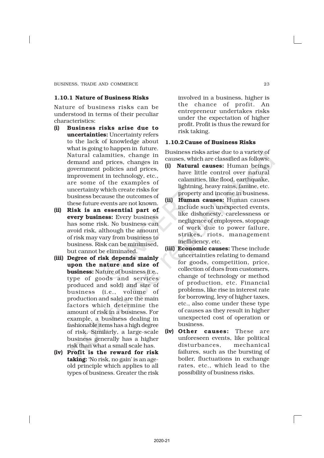#### 1.10.1 Nature of Business Risks

Nature of business risks can be understood in terms of their peculiar characteristics:

- (i) Business risks arise due to uncertainties: Uncertainty refers to the lack of knowledge about what is going to happen in future. Natural calamities, change in demand and prices, changes in government policies and prices, improvement in technology, etc., are some of the examples of uncertainty which create risks for business because the outcomes of these future events are not known.
- (ii) Risk is an essential part of every business: Every business has some risk. No business can avoid risk, although the amount of risk may vary from business to business. Risk can be minimised, but cannot be eliminated.
- (iii) Degree of risk depends mainly upon the nature and size of business: Nature of business (i.e., type of goods and services produced and sold) and size of business (i.e., volume of production and sale) are the main factors which determine the amount of risk in a business. For example, a business dealing in fashionable items has a high degree of risk. Similarly, a large-scale business generally has a higher risk than what a small scale has.
- (iv) Profit is the reward for risk taking: 'No risk, no gain' is an ageold principle which applies to all types of business. Greater the risk

involved in a business, higher is the chance of profit. An entrepreneur undertakes risks under the expectation of higher profit. Profit is thus the reward for risk taking.

#### 1.10.2Cause of Business Risks

Business risks arise due to a variety of causes, which are classified as follows:

- (i) Natural causes: Human beings have little control over natural calamities, like flood, earthquake, lightning, heavy rains, famine, etc. property and income in business.
- (ii) Human causes: Human causes include such unexpected events, like dishonesty, carelessness or negligence of employees, stoppage of work due to power failure, strikes, riots, management inefficiency, etc.
- (iii) Economic causes: These include uncertainties relating to demand for goods, competition, price, collection of dues from customers, change of technology or method of production, etc. Financial problems, like rise in interest rate for borrowing, levy of higher taxes, etc., also come under these type of causes as they result in higher unexpected cost of operation or business.
- (iv) Other causes: These are unforeseen events, like political disturbances, mechanical failures, such as the bursting of boiler, fluctuations in exchange rates, etc., which lead to the possibility of business risks.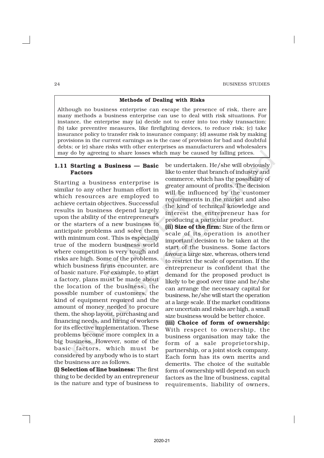# Methods of Dealing with Risks

Although no business enterprise can escape the presence of risk, there are many methods a business enterprise can use to deal with risk situations. For instance, the enterprise may (a) decide not to enter into too risky transaction: (b) take preventive measures, like firefighting devices, to reduce risk; (c) take insurance policy to transfer risk to insurance company; (d) assume risk by making provisions in the current earnings as is the case of provision for bad and doubtful debts; or (e) share risks with other enterprises as manufacturers and wholesalers may do by agreeing to share losses which may be caused by falling prices.

# 1.11 Starting a Business — Basic Factors

Starting a business enterprise is similar to any other human effort in which resources are employed to achieve certain objectives. Successful results in business depend largely upon the ability of the entrepreneurs or the starters of a new business to anticipate problems and solve them with minimum cost. This is especially true of the modern business world where competition is very tough and risks are high. Some of the problems, which business firms encounter, are of basic nature. For example, to start a factory, plans must be made about the location of the business, the possible number of customers, the kind of equipment required and the amount of money needed to procure them, the shop layout, purchasing and financing needs, and hiring of workers for its effective implementation. These problems become more complex in a big business. However, some of the basic factors, which must be considered by anybody who is to start the business are as follows.

(i) Selection of line business: The first thing to be decided by an entrepreneur is the nature and type of business to be undertaken. He/she will obviously like to enter that branch of industry and commerce, which has the possibility of greater amount of profits. The decision will be influenced by the customer requirements in the market and also the kind of technical knowledge and interest the entrepreneur has for producing a particular product.

(ii) Size of the firm: Size of the firm or scale of its operation is another important decision to be taken at the start of the business. Some factors favour a large size, whereas, others tend to restrict the scale of operation. If the entrepreneur is confident that the demand for the proposed product is likely to be good over time and he/she can arrange the necessary capital for business, he/she will start the operation at a large scale. If the market conditions are uncertain and risks are high, a small size business would be better choice.

(iii) Choice of form of ownership: With respect to ownership, the business organisation may take the form of a sale proprietorship, partnership, or a joint stock company. Each form has its own merits and demerits. The choice of the suitable form of ownership will depend on such factors as the line of business, capital requirements, liability of owners,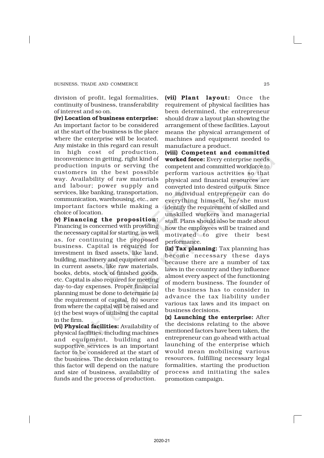division of profit, legal formalities, continuity of business, transferability of interest and so on.

(iv) Location of business enterprise: An important factor to be considered at the start of the business is the place where the enterprise will be located. Any mistake in this regard can result in high cost of production, inconvenience in getting, right kind of production inputs or serving the customers in the best possible way. Availability of raw materials and labour; power supply and services, like banking, transportation, communication, warehousing, etc., are important factors while making a choice of location.

(v) Financing the proposition: Financing is concerned with providing the necessary capital for starting, as well as, for continuing the proposed business. Capital is required for investment in fixed assets, like land, building, machinery and equipment and in current assets, like raw materials, books, debts, stock of finished goods, etc. Capital is also required for meeting day-to-day expenses. Proper financial planning must be done to determine (a) the requirement of capital, (b) source from where the capital will be raised and (c) the best ways of utilising the capital in the firm.

(vi) Physical facilities: Availability of physical facilities, including machines and equipment, building and supportive services is an important factor to be considered at the start of the business. The decision relating to this factor will depend on the nature and size of business, availability of funds and the process of production.

(vii) Plant layout: Once the requirement of physical facilities has been determined, the entrepreneur should draw a layout plan showing the arrangement of these facilities. Layout means the physical arrangement of machines and equipment needed to manufacture a product.

(viii) Competent and committed worked force: Every enterprise needs competent and committed workforce to perform various activities so that physical and financial resources are converted into desired outputs. Since no individual entrepreneur can do everything himself, he/she must identify the requirement of skilled and unskilled workers and managerial staff. Plans should also be made about how the employees will be trained and motivated to give their best performance.

(ix) Tax planning: Tax planning has become necessary these days because there are a number of tax laws in the country and they influence almost every aspect of the functioning of modern business. The founder of the business has to consider in advance the tax liability under various tax laws and its impact on business decisions.

(x) Launching the enterprise: After the decisions relating to the above mentioned factors have been taken, the entrepreneur can go ahead with actual launching of the enterprise which would mean mobilising various resources, fulfilling necessary legal formalities, starting the production process and initiating the sales promotion campaign.